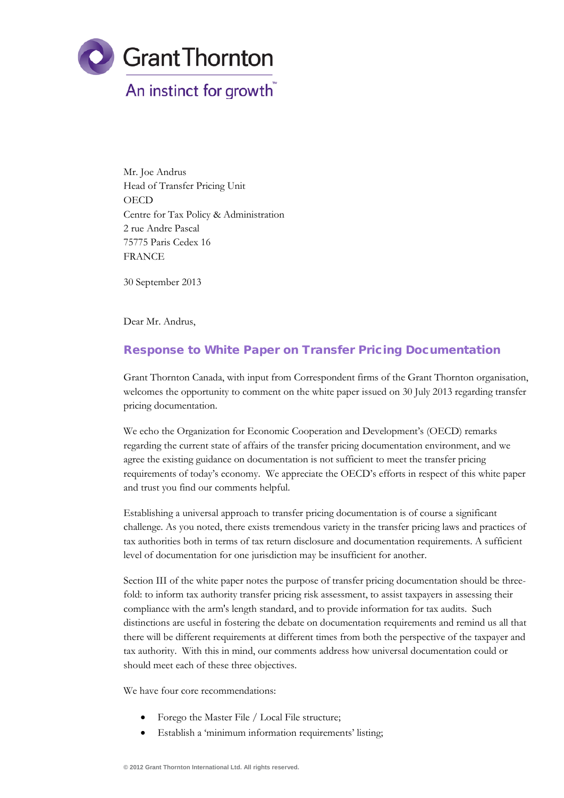

Mr. Joe Andrus Head of Transfer Pricing Unit **OECD** Centre for Tax Policy & Administration 2 rue Andre Pascal 75775 Paris Cedex 16 FRANCE

30 September 2013

Dear Mr. Andrus,

# Response to White Paper on Transfer Pricing Documentation

Grant Thornton Canada, with input from Correspondent firms of the Grant Thornton organisation, welcomes the opportunity to comment on the white paper issued on 30 July 2013 regarding transfer pricing documentation.

We echo the Organization for Economic Cooperation and Development's (OECD) remarks regarding the current state of affairs of the transfer pricing documentation environment, and we agree the existing guidance on documentation is not sufficient to meet the transfer pricing requirements of today's economy. We appreciate the OECD's efforts in respect of this white paper and trust you find our comments helpful.

Establishing a universal approach to transfer pricing documentation is of course a significant challenge. As you noted, there exists tremendous variety in the transfer pricing laws and practices of tax authorities both in terms of tax return disclosure and documentation requirements. A sufficient level of documentation for one jurisdiction may be insufficient for another.

Section III of the white paper notes the purpose of transfer pricing documentation should be threefold: to inform tax authority transfer pricing risk assessment, to assist taxpayers in assessing their compliance with the arm's length standard, and to provide information for tax audits. Such distinctions are useful in fostering the debate on documentation requirements and remind us all that there will be different requirements at different times from both the perspective of the taxpayer and tax authority. With this in mind, our comments address how universal documentation could or should meet each of these three objectives.

We have four core recommendations:

- Forego the Master File / Local File structure;
- Establish a 'minimum information requirements' listing;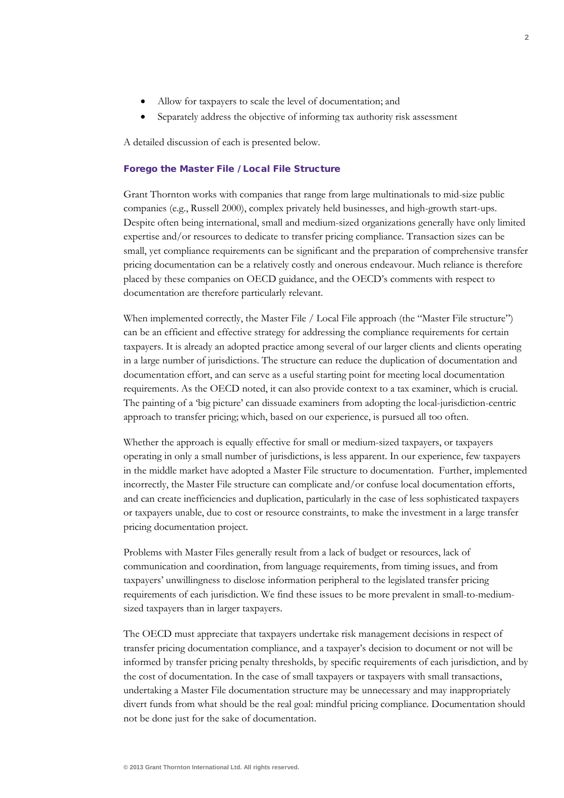- Allow for taxpayers to scale the level of documentation; and
- Separately address the objective of informing tax authority risk assessment

A detailed discussion of each is presented below.

#### Forego the Master File / Local File Structure

Grant Thornton works with companies that range from large multinationals to mid-size public companies (e.g., Russell 2000), complex privately held businesses, and high-growth start-ups. Despite often being international, small and medium-sized organizations generally have only limited expertise and/or resources to dedicate to transfer pricing compliance. Transaction sizes can be small, yet compliance requirements can be significant and the preparation of comprehensive transfer pricing documentation can be a relatively costly and onerous endeavour. Much reliance is therefore placed by these companies on OECD guidance, and the OECD's comments with respect to documentation are therefore particularly relevant.

When implemented correctly, the Master File / Local File approach (the "Master File structure") can be an efficient and effective strategy for addressing the compliance requirements for certain taxpayers. It is already an adopted practice among several of our larger clients and clients operating in a large number of jurisdictions. The structure can reduce the duplication of documentation and documentation effort, and can serve as a useful starting point for meeting local documentation requirements. As the OECD noted, it can also provide context to a tax examiner, which is crucial. The painting of a 'big picture' can dissuade examiners from adopting the local-jurisdiction-centric approach to transfer pricing; which, based on our experience, is pursued all too often.

Whether the approach is equally effective for small or medium-sized taxpayers, or taxpayers operating in only a small number of jurisdictions, is less apparent. In our experience, few taxpayers in the middle market have adopted a Master File structure to documentation. Further, implemented incorrectly, the Master File structure can complicate and/or confuse local documentation efforts, and can create inefficiencies and duplication, particularly in the case of less sophisticated taxpayers or taxpayers unable, due to cost or resource constraints, to make the investment in a large transfer pricing documentation project.

Problems with Master Files generally result from a lack of budget or resources, lack of communication and coordination, from language requirements, from timing issues, and from taxpayers' unwillingness to disclose information peripheral to the legislated transfer pricing requirements of each jurisdiction. We find these issues to be more prevalent in small-to-mediumsized taxpayers than in larger taxpayers.

The OECD must appreciate that taxpayers undertake risk management decisions in respect of transfer pricing documentation compliance, and a taxpayer's decision to document or not will be informed by transfer pricing penalty thresholds, by specific requirements of each jurisdiction, and by the cost of documentation. In the case of small taxpayers or taxpayers with small transactions, undertaking a Master File documentation structure may be unnecessary and may inappropriately divert funds from what should be the real goal: mindful pricing compliance. Documentation should not be done just for the sake of documentation.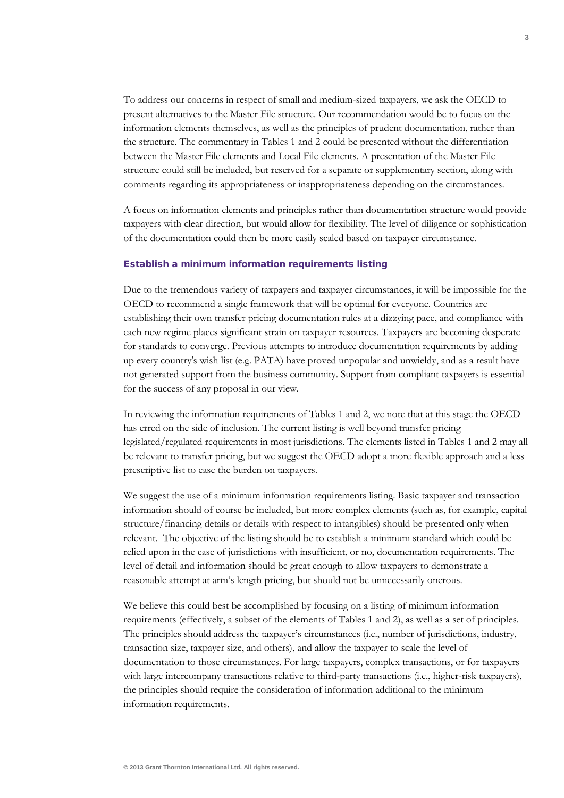To address our concerns in respect of small and medium-sized taxpayers, we ask the OECD to present alternatives to the Master File structure. Our recommendation would be to focus on the information elements themselves, as well as the principles of prudent documentation, rather than the structure. The commentary in Tables 1 and 2 could be presented without the differentiation between the Master File elements and Local File elements. A presentation of the Master File structure could still be included, but reserved for a separate or supplementary section, along with comments regarding its appropriateness or inappropriateness depending on the circumstances.

A focus on information elements and principles rather than documentation structure would provide taxpayers with clear direction, but would allow for flexibility. The level of diligence or sophistication of the documentation could then be more easily scaled based on taxpayer circumstance.

## Establish a minimum information requirements listing

Due to the tremendous variety of taxpayers and taxpayer circumstances, it will be impossible for the OECD to recommend a single framework that will be optimal for everyone. Countries are establishing their own transfer pricing documentation rules at a dizzying pace, and compliance with each new regime places significant strain on taxpayer resources. Taxpayers are becoming desperate for standards to converge. Previous attempts to introduce documentation requirements by adding up every country's wish list (e.g. PATA) have proved unpopular and unwieldy, and as a result have not generated support from the business community. Support from compliant taxpayers is essential for the success of any proposal in our view.

In reviewing the information requirements of Tables 1 and 2, we note that at this stage the OECD has erred on the side of inclusion. The current listing is well beyond transfer pricing legislated/regulated requirements in most jurisdictions. The elements listed in Tables 1 and 2 may all be relevant to transfer pricing, but we suggest the OECD adopt a more flexible approach and a less prescriptive list to ease the burden on taxpayers.

We suggest the use of a minimum information requirements listing. Basic taxpayer and transaction information should of course be included, but more complex elements (such as, for example, capital structure/financing details or details with respect to intangibles) should be presented only when relevant. The objective of the listing should be to establish a minimum standard which could be relied upon in the case of jurisdictions with insufficient, or no, documentation requirements. The level of detail and information should be great enough to allow taxpayers to demonstrate a reasonable attempt at arm's length pricing, but should not be unnecessarily onerous.

We believe this could best be accomplished by focusing on a listing of minimum information requirements (effectively, a subset of the elements of Tables 1 and 2), as well as a set of principles. The principles should address the taxpayer's circumstances (i.e., number of jurisdictions, industry, transaction size, taxpayer size, and others), and allow the taxpayer to scale the level of documentation to those circumstances. For large taxpayers, complex transactions, or for taxpayers with large intercompany transactions relative to third-party transactions (i.e., higher-risk taxpayers), the principles should require the consideration of information additional to the minimum information requirements.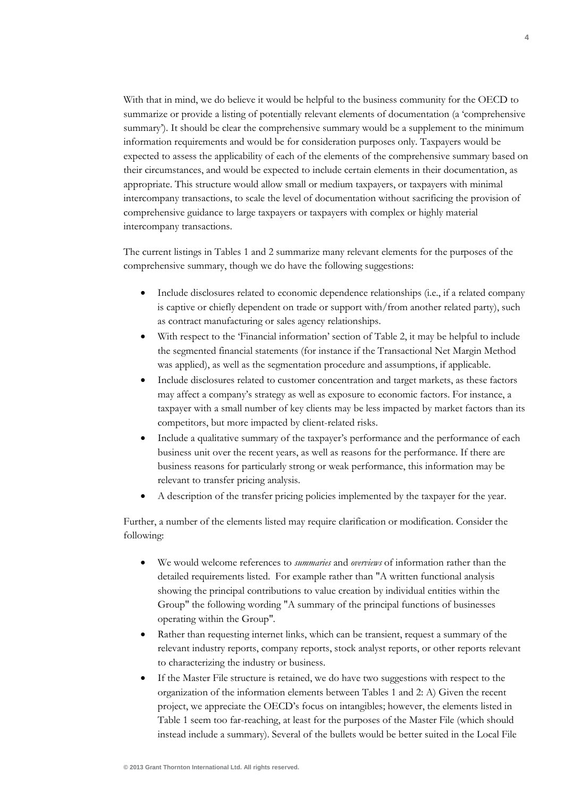With that in mind, we do believe it would be helpful to the business community for the OECD to summarize or provide a listing of potentially relevant elements of documentation (a 'comprehensive summary'). It should be clear the comprehensive summary would be a supplement to the minimum information requirements and would be for consideration purposes only. Taxpayers would be expected to assess the applicability of each of the elements of the comprehensive summary based on their circumstances, and would be expected to include certain elements in their documentation, as appropriate. This structure would allow small or medium taxpayers, or taxpayers with minimal intercompany transactions, to scale the level of documentation without sacrificing the provision of comprehensive guidance to large taxpayers or taxpayers with complex or highly material intercompany transactions.

The current listings in Tables 1 and 2 summarize many relevant elements for the purposes of the comprehensive summary, though we do have the following suggestions:

- Include disclosures related to economic dependence relationships (i.e., if a related company is captive or chiefly dependent on trade or support with/from another related party), such as contract manufacturing or sales agency relationships.
- With respect to the 'Financial information' section of Table 2, it may be helpful to include the segmented financial statements (for instance if the Transactional Net Margin Method was applied), as well as the segmentation procedure and assumptions, if applicable.
- Include disclosures related to customer concentration and target markets, as these factors may affect a company's strategy as well as exposure to economic factors. For instance, a taxpayer with a small number of key clients may be less impacted by market factors than its competitors, but more impacted by client-related risks.
- Include a qualitative summary of the taxpayer's performance and the performance of each business unit over the recent years, as well as reasons for the performance. If there are business reasons for particularly strong or weak performance, this information may be relevant to transfer pricing analysis.
- A description of the transfer pricing policies implemented by the taxpayer for the year.

Further, a number of the elements listed may require clarification or modification. Consider the following:

- We would welcome references to *summaries* and *overviews* of information rather than the detailed requirements listed. For example rather than "A written functional analysis showing the principal contributions to value creation by individual entities within the Group" the following wording "A summary of the principal functions of businesses operating within the Group".
- Rather than requesting internet links, which can be transient, request a summary of the relevant industry reports, company reports, stock analyst reports, or other reports relevant to characterizing the industry or business.
- If the Master File structure is retained, we do have two suggestions with respect to the organization of the information elements between Tables 1 and 2: A) Given the recent project, we appreciate the OECD's focus on intangibles; however, the elements listed in Table 1 seem too far-reaching, at least for the purposes of the Master File (which should instead include a summary). Several of the bullets would be better suited in the Local File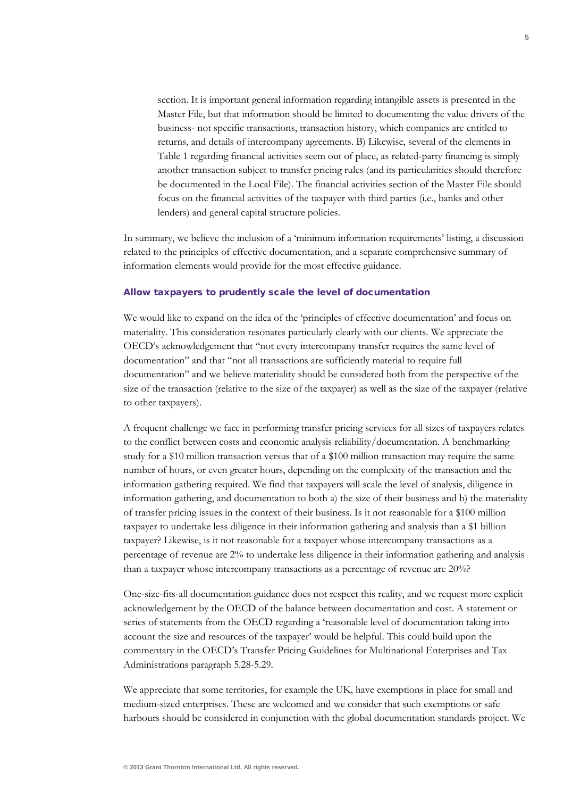section. It is important general information regarding intangible assets is presented in the Master File, but that information should be limited to documenting the value drivers of the business- not specific transactions, transaction history, which companies are entitled to returns, and details of intercompany agreements. B) Likewise, several of the elements in Table 1 regarding financial activities seem out of place, as related-party financing is simply another transaction subject to transfer pricing rules (and its particularities should therefore be documented in the Local File). The financial activities section of the Master File should focus on the financial activities of the taxpayer with third parties (i.e., banks and other lenders) and general capital structure policies.

In summary, we believe the inclusion of a 'minimum information requirements' listing, a discussion related to the principles of effective documentation, and a separate comprehensive summary of information elements would provide for the most effective guidance.

### Allow taxpayers to prudently scale the level of documentation

We would like to expand on the idea of the 'principles of effective documentation' and focus on materiality. This consideration resonates particularly clearly with our clients. We appreciate the OECD's acknowledgement that "not every intercompany transfer requires the same level of documentation" and that "not all transactions are sufficiently material to require full documentation" and we believe materiality should be considered both from the perspective of the size of the transaction (relative to the size of the taxpayer) as well as the size of the taxpayer (relative to other taxpayers).

A frequent challenge we face in performing transfer pricing services for all sizes of taxpayers relates to the conflict between costs and economic analysis reliability/documentation. A benchmarking study for a \$10 million transaction versus that of a \$100 million transaction may require the same number of hours, or even greater hours, depending on the complexity of the transaction and the information gathering required. We find that taxpayers will scale the level of analysis, diligence in information gathering, and documentation to both a) the size of their business and b) the materiality of transfer pricing issues in the context of their business. Is it not reasonable for a \$100 million taxpayer to undertake less diligence in their information gathering and analysis than a \$1 billion taxpayer? Likewise, is it not reasonable for a taxpayer whose intercompany transactions as a percentage of revenue are 2% to undertake less diligence in their information gathering and analysis than a taxpayer whose intercompany transactions as a percentage of revenue are 20%?

One-size-fits-all documentation guidance does not respect this reality, and we request more explicit acknowledgement by the OECD of the balance between documentation and cost. A statement or series of statements from the OECD regarding a 'reasonable level of documentation taking into account the size and resources of the taxpayer' would be helpful. This could build upon the commentary in the OECD's Transfer Pricing Guidelines for Multinational Enterprises and Tax Administrations paragraph 5.28-5.29.

We appreciate that some territories, for example the UK, have exemptions in place for small and medium-sized enterprises. These are welcomed and we consider that such exemptions or safe harbours should be considered in conjunction with the global documentation standards project. We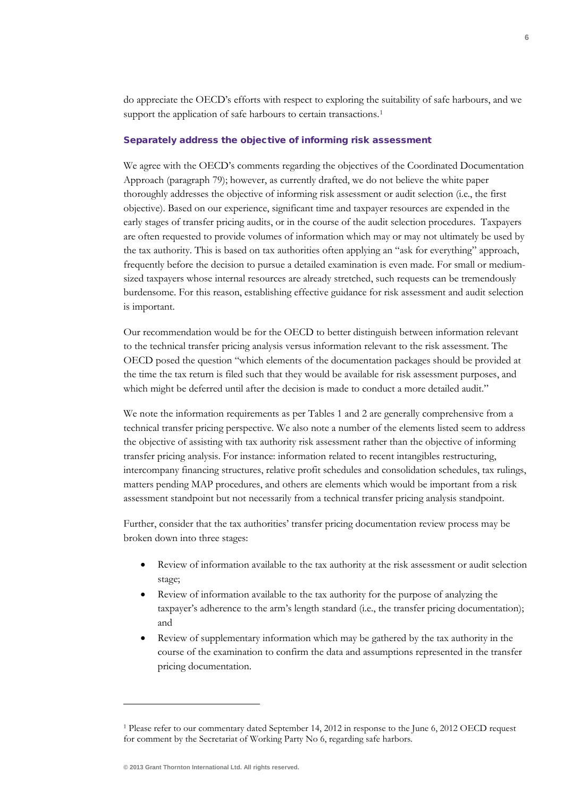do appreciate the OECD's efforts with respect to exploring the suitability of safe harbours, and we support the application of safe harbours to certain transactions.<sup>[1](#page-5-0)</sup>

## Separately address the objective of informing risk assessment

We agree with the OECD's comments regarding the objectives of the Coordinated Documentation Approach (paragraph 79); however, as currently drafted, we do not believe the white paper thoroughly addresses the objective of informing risk assessment or audit selection (i.e., the first objective). Based on our experience, significant time and taxpayer resources are expended in the early stages of transfer pricing audits, or in the course of the audit selection procedures. Taxpayers are often requested to provide volumes of information which may or may not ultimately be used by the tax authority. This is based on tax authorities often applying an "ask for everything" approach, frequently before the decision to pursue a detailed examination is even made. For small or mediumsized taxpayers whose internal resources are already stretched, such requests can be tremendously burdensome. For this reason, establishing effective guidance for risk assessment and audit selection is important.

Our recommendation would be for the OECD to better distinguish between information relevant to the technical transfer pricing analysis versus information relevant to the risk assessment. The OECD posed the question "which elements of the documentation packages should be provided at the time the tax return is filed such that they would be available for risk assessment purposes, and which might be deferred until after the decision is made to conduct a more detailed audit."

We note the information requirements as per Tables 1 and 2 are generally comprehensive from a technical transfer pricing perspective. We also note a number of the elements listed seem to address the objective of assisting with tax authority risk assessment rather than the objective of informing transfer pricing analysis. For instance: information related to recent intangibles restructuring, intercompany financing structures, relative profit schedules and consolidation schedules, tax rulings, matters pending MAP procedures, and others are elements which would be important from a risk assessment standpoint but not necessarily from a technical transfer pricing analysis standpoint.

Further, consider that the tax authorities' transfer pricing documentation review process may be broken down into three stages:

- Review of information available to the tax authority at the risk assessment or audit selection stage;
- Review of information available to the tax authority for the purpose of analyzing the taxpayer's adherence to the arm's length standard (i.e., the transfer pricing documentation); and
- Review of supplementary information which may be gathered by the tax authority in the course of the examination to confirm the data and assumptions represented in the transfer pricing documentation.

**6**

**.** 

<span id="page-5-0"></span><sup>1</sup> Please refer to our commentary dated September 14, 2012 in response to the June 6, 2012 OECD request for comment by the Secretariat of Working Party No 6, regarding safe harbors.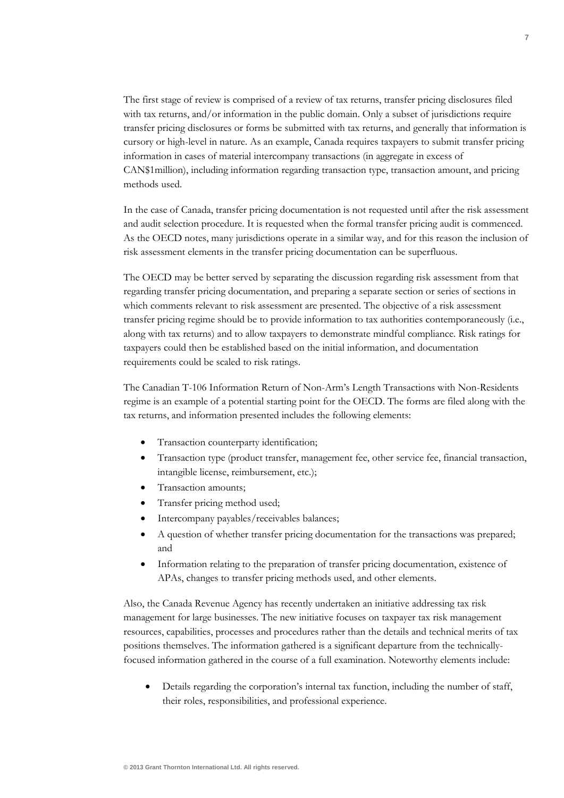The first stage of review is comprised of a review of tax returns, transfer pricing disclosures filed with tax returns, and/or information in the public domain. Only a subset of jurisdictions require transfer pricing disclosures or forms be submitted with tax returns, and generally that information is cursory or high-level in nature. As an example, Canada requires taxpayers to submit transfer pricing information in cases of material intercompany transactions (in aggregate in excess of CAN\$1million), including information regarding transaction type, transaction amount, and pricing methods used.

In the case of Canada, transfer pricing documentation is not requested until after the risk assessment and audit selection procedure. It is requested when the formal transfer pricing audit is commenced. As the OECD notes, many jurisdictions operate in a similar way, and for this reason the inclusion of risk assessment elements in the transfer pricing documentation can be superfluous.

The OECD may be better served by separating the discussion regarding risk assessment from that regarding transfer pricing documentation, and preparing a separate section or series of sections in which comments relevant to risk assessment are presented. The objective of a risk assessment transfer pricing regime should be to provide information to tax authorities contemporaneously (i.e., along with tax returns) and to allow taxpayers to demonstrate mindful compliance. Risk ratings for taxpayers could then be established based on the initial information, and documentation requirements could be scaled to risk ratings.

The Canadian T-106 Information Return of Non-Arm's Length Transactions with Non-Residents regime is an example of a potential starting point for the OECD. The forms are filed along with the tax returns, and information presented includes the following elements:

- Transaction counterparty identification;
- Transaction type (product transfer, management fee, other service fee, financial transaction, intangible license, reimbursement, etc.);
- Transaction amounts;
- Transfer pricing method used;
- Intercompany payables/receivables balances;
- A question of whether transfer pricing documentation for the transactions was prepared; and
- Information relating to the preparation of transfer pricing documentation, existence of APAs, changes to transfer pricing methods used, and other elements.

Also, the Canada Revenue Agency has recently undertaken an initiative addressing tax risk management for large businesses. The new initiative focuses on taxpayer tax risk management resources, capabilities, processes and procedures rather than the details and technical merits of tax positions themselves. The information gathered is a significant departure from the technicallyfocused information gathered in the course of a full examination. Noteworthy elements include:

• Details regarding the corporation's internal tax function, including the number of staff, their roles, responsibilities, and professional experience.